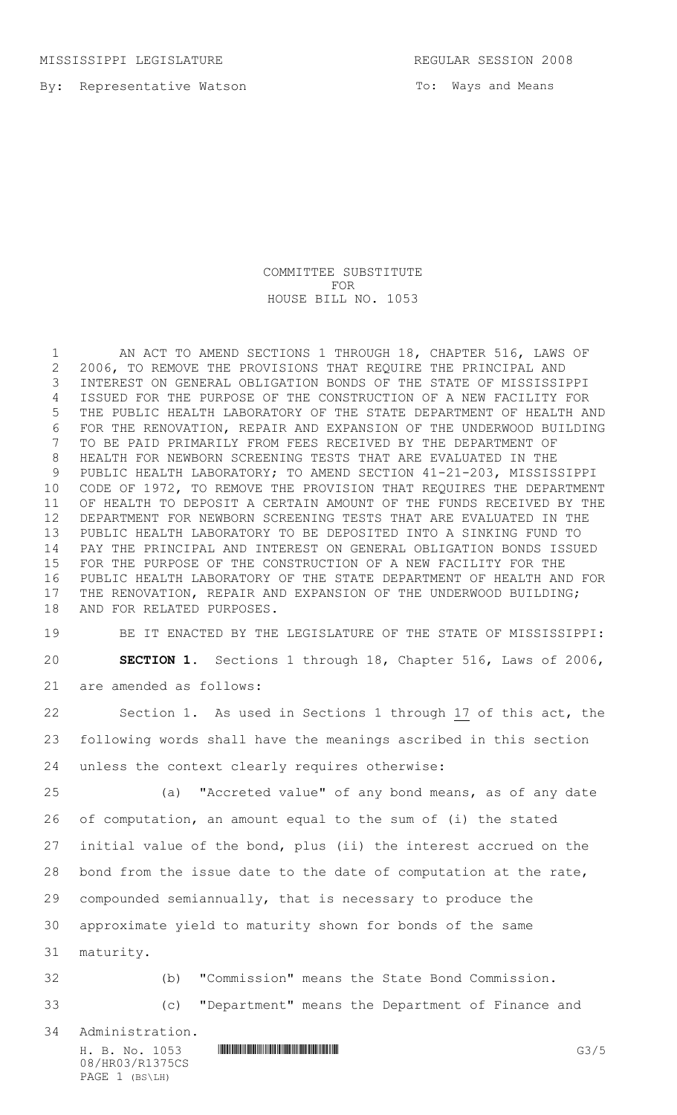MISSISSIPPI LEGISLATURE REGULAR SESSION 2008

By: Representative Watson

To: Ways and Means

COMMITTEE SUBSTITUTE FOR HOUSE BILL NO. 1053

1 AN ACT TO AMEND SECTIONS 1 THROUGH 18, CHAPTER 516, LAWS OF 2006, TO REMOVE THE PROVISIONS THAT REQUIRE THE PRINCIPAL AND INTEREST ON GENERAL OBLIGATION BONDS OF THE STATE OF MISSISSIPPI ISSUED FOR THE PURPOSE OF THE CONSTRUCTION OF A NEW FACILITY FOR THE PUBLIC HEALTH LABORATORY OF THE STATE DEPARTMENT OF HEALTH AND FOR THE RENOVATION, REPAIR AND EXPANSION OF THE UNDERWOOD BUILDING TO BE PAID PRIMARILY FROM FEES RECEIVED BY THE DEPARTMENT OF HEALTH FOR NEWBORN SCREENING TESTS THAT ARE EVALUATED IN THE PUBLIC HEALTH LABORATORY; TO AMEND SECTION 41-21-203, MISSISSIPPI CODE OF 1972, TO REMOVE THE PROVISION THAT REQUIRES THE DEPARTMENT OF HEALTH TO DEPOSIT A CERTAIN AMOUNT OF THE FUNDS RECEIVED BY THE DEPARTMENT FOR NEWBORN SCREENING TESTS THAT ARE EVALUATED IN THE PUBLIC HEALTH LABORATORY TO BE DEPOSITED INTO A SINKING FUND TO PAY THE PRINCIPAL AND INTEREST ON GENERAL OBLIGATION BONDS ISSUED FOR THE PURPOSE OF THE CONSTRUCTION OF A NEW FACILITY FOR THE PUBLIC HEALTH LABORATORY OF THE STATE DEPARTMENT OF HEALTH AND FOR 17 THE RENOVATION, REPAIR AND EXPANSION OF THE UNDERWOOD BUILDING; AND FOR RELATED PURPOSES.

 BE IT ENACTED BY THE LEGISLATURE OF THE STATE OF MISSISSIPPI: **SECTION 1.** Sections 1 through 18, Chapter 516, Laws of 2006, are amended as follows:

 Section 1. As used in Sections 1 through 17 of this act, the following words shall have the meanings ascribed in this section unless the context clearly requires otherwise:

 (a) "Accreted value" of any bond means, as of any date of computation, an amount equal to the sum of (i) the stated initial value of the bond, plus (ii) the interest accrued on the bond from the issue date to the date of computation at the rate, compounded semiannually, that is necessary to produce the approximate yield to maturity shown for bonds of the same maturity.

 (b) "Commission" means the State Bond Commission. (c) "Department" means the Department of Finance and

Administration.

H. B. No. 1053 **HROBIT COMMUNISION COMMUNISION** 08/HR03/R1375CS PAGE 1 (BS\LH)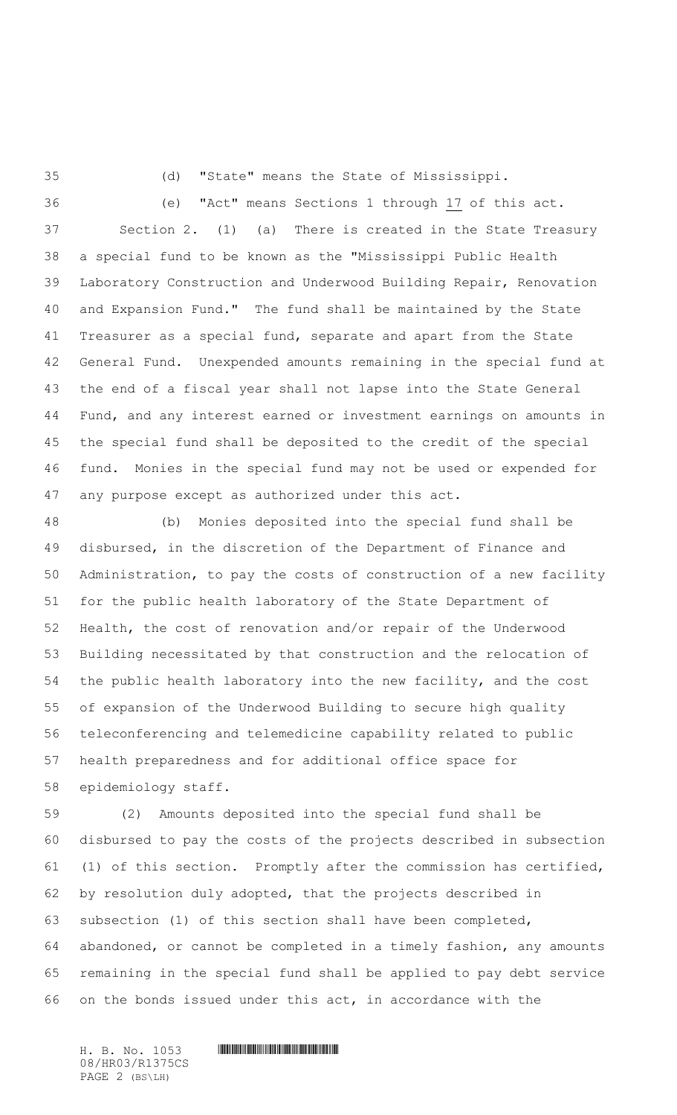(d) "State" means the State of Mississippi.

 (e) "Act" means Sections 1 through 17 of this act. Section 2. (1) (a) There is created in the State Treasury a special fund to be known as the "Mississippi Public Health Laboratory Construction and Underwood Building Repair, Renovation and Expansion Fund." The fund shall be maintained by the State Treasurer as a special fund, separate and apart from the State General Fund. Unexpended amounts remaining in the special fund at the end of a fiscal year shall not lapse into the State General Fund, and any interest earned or investment earnings on amounts in the special fund shall be deposited to the credit of the special fund. Monies in the special fund may not be used or expended for any purpose except as authorized under this act.

 (b) Monies deposited into the special fund shall be disbursed, in the discretion of the Department of Finance and Administration, to pay the costs of construction of a new facility for the public health laboratory of the State Department of Health, the cost of renovation and/or repair of the Underwood Building necessitated by that construction and the relocation of the public health laboratory into the new facility, and the cost of expansion of the Underwood Building to secure high quality teleconferencing and telemedicine capability related to public health preparedness and for additional office space for epidemiology staff.

 (2) Amounts deposited into the special fund shall be disbursed to pay the costs of the projects described in subsection (1) of this section. Promptly after the commission has certified, by resolution duly adopted, that the projects described in subsection (1) of this section shall have been completed, abandoned, or cannot be completed in a timely fashion, any amounts remaining in the special fund shall be applied to pay debt service on the bonds issued under this act, in accordance with the

08/HR03/R1375CS PAGE 2 (BS\LH)

 $H. B. No. 1053$  . HIRD AND AND ALL AND A SET OF A SET OF A SET OF A SET OF A SET OF A SET OF A SET OF A SET OF A SET OF A SET OF A SET OF A SET OF A SET OF A SET OF A SET OF A SET OF A SET OF A SET OF A SET OF A SET OF A SE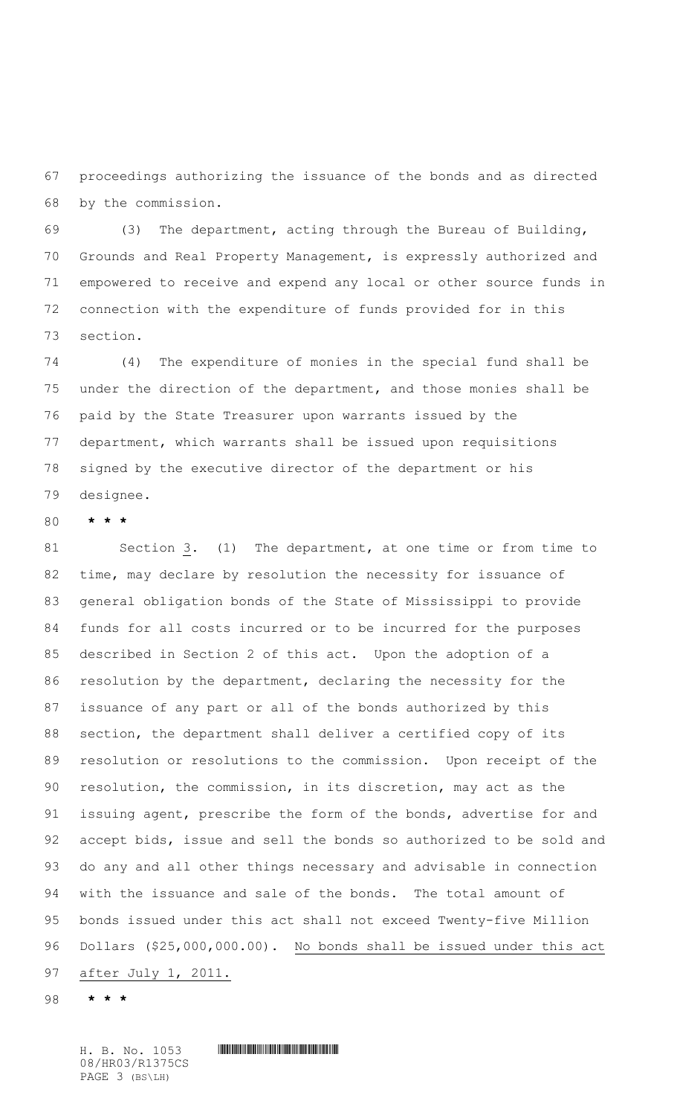proceedings authorizing the issuance of the bonds and as directed by the commission.

 (3) The department, acting through the Bureau of Building, Grounds and Real Property Management, is expressly authorized and empowered to receive and expend any local or other source funds in connection with the expenditure of funds provided for in this section.

 (4) The expenditure of monies in the special fund shall be under the direction of the department, and those monies shall be paid by the State Treasurer upon warrants issued by the department, which warrants shall be issued upon requisitions signed by the executive director of the department or his designee.

**\* \* \***

 Section 3**.** (1) The department, at one time or from time to time, may declare by resolution the necessity for issuance of general obligation bonds of the State of Mississippi to provide funds for all costs incurred or to be incurred for the purposes described in Section 2 of this act. Upon the adoption of a resolution by the department, declaring the necessity for the issuance of any part or all of the bonds authorized by this section, the department shall deliver a certified copy of its resolution or resolutions to the commission. Upon receipt of the resolution, the commission, in its discretion, may act as the 91 issuing agent, prescribe the form of the bonds, advertise for and accept bids, issue and sell the bonds so authorized to be sold and do any and all other things necessary and advisable in connection with the issuance and sale of the bonds. The total amount of bonds issued under this act shall not exceed Twenty-five Million Dollars (\$25,000,000.00). No bonds shall be issued under this act after July 1, 2011.

**\* \* \***

 $H. B. No. 1053$  . HOSS THE SET OF SET OF SET OF SET OF SET OF SET OF SET OF SET OF SET OF SET OF SET OF SET OF SET OF SET OF SET OF SET OF SET OF SET OF SET OF SET OF SET OF SET OF SET OF SET OF SET OF SET OF SET OF SET OF 08/HR03/R1375CS PAGE 3 (BS\LH)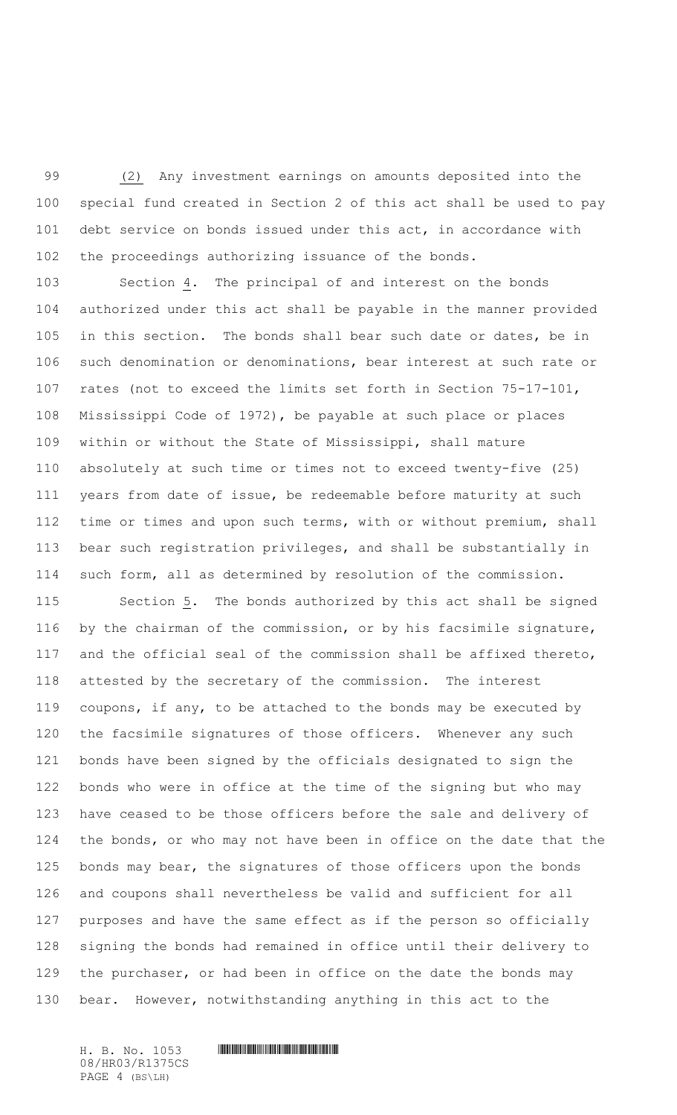(2) Any investment earnings on amounts deposited into the special fund created in Section 2 of this act shall be used to pay debt service on bonds issued under this act, in accordance with the proceedings authorizing issuance of the bonds.

 Section 4. The principal of and interest on the bonds authorized under this act shall be payable in the manner provided 105 in this section. The bonds shall bear such date or dates, be in such denomination or denominations, bear interest at such rate or rates (not to exceed the limits set forth in Section 75-17-101, Mississippi Code of 1972), be payable at such place or places within or without the State of Mississippi, shall mature absolutely at such time or times not to exceed twenty-five (25) years from date of issue, be redeemable before maturity at such time or times and upon such terms, with or without premium, shall bear such registration privileges, and shall be substantially in such form, all as determined by resolution of the commission.

 Section 5. The bonds authorized by this act shall be signed by the chairman of the commission, or by his facsimile signature, and the official seal of the commission shall be affixed thereto, attested by the secretary of the commission. The interest coupons, if any, to be attached to the bonds may be executed by the facsimile signatures of those officers. Whenever any such bonds have been signed by the officials designated to sign the bonds who were in office at the time of the signing but who may have ceased to be those officers before the sale and delivery of the bonds, or who may not have been in office on the date that the bonds may bear, the signatures of those officers upon the bonds and coupons shall nevertheless be valid and sufficient for all purposes and have the same effect as if the person so officially signing the bonds had remained in office until their delivery to the purchaser, or had been in office on the date the bonds may bear. However, notwithstanding anything in this act to the

08/HR03/R1375CS PAGE 4 (BS\LH)

 $H. B. No. 1053$  . HIRD AND AND ALL AND A SET OF A SET OF A SET OF A SET OF A SET OF A SET OF A SET OF A SET OF A SET OF A SET OF A SET OF A SET OF A SET OF A SET OF A SET OF A SET OF A SET OF A SET OF A SET OF A SET OF A SE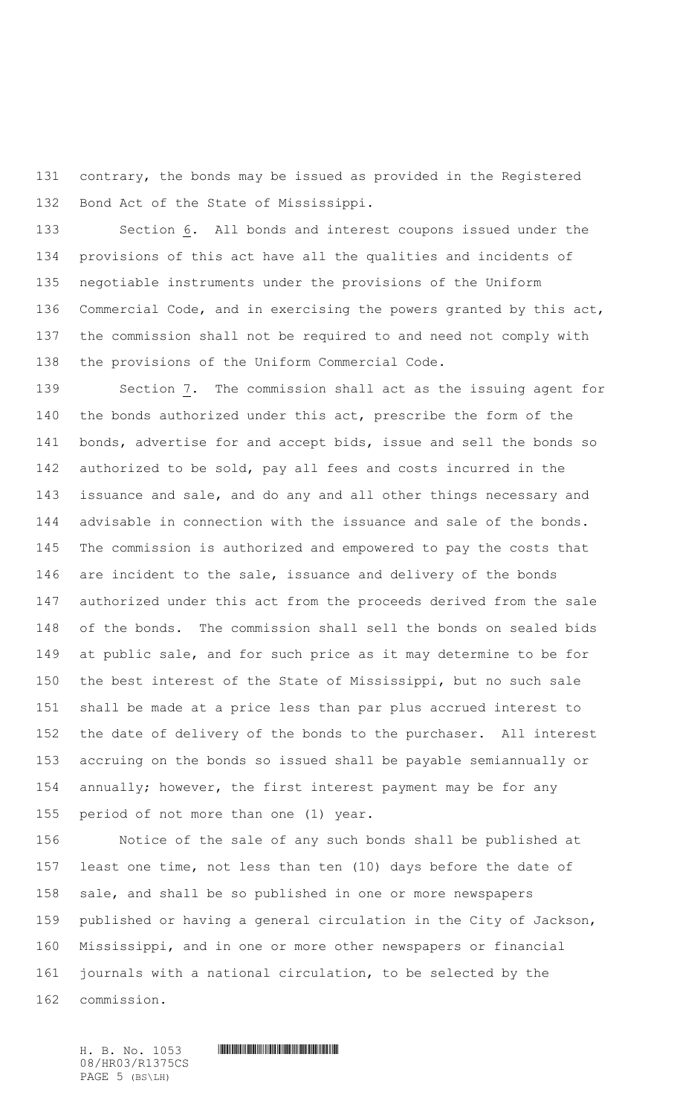contrary, the bonds may be issued as provided in the Registered Bond Act of the State of Mississippi.

 Section 6. All bonds and interest coupons issued under the provisions of this act have all the qualities and incidents of negotiable instruments under the provisions of the Uniform Commercial Code, and in exercising the powers granted by this act, the commission shall not be required to and need not comply with the provisions of the Uniform Commercial Code.

 Section 7. The commission shall act as the issuing agent for the bonds authorized under this act, prescribe the form of the bonds, advertise for and accept bids, issue and sell the bonds so authorized to be sold, pay all fees and costs incurred in the issuance and sale, and do any and all other things necessary and advisable in connection with the issuance and sale of the bonds. The commission is authorized and empowered to pay the costs that are incident to the sale, issuance and delivery of the bonds authorized under this act from the proceeds derived from the sale of the bonds. The commission shall sell the bonds on sealed bids at public sale, and for such price as it may determine to be for the best interest of the State of Mississippi, but no such sale shall be made at a price less than par plus accrued interest to the date of delivery of the bonds to the purchaser. All interest accruing on the bonds so issued shall be payable semiannually or annually; however, the first interest payment may be for any period of not more than one (1) year.

 Notice of the sale of any such bonds shall be published at least one time, not less than ten (10) days before the date of sale, and shall be so published in one or more newspapers published or having a general circulation in the City of Jackson, Mississippi, and in one or more other newspapers or financial journals with a national circulation, to be selected by the commission.

08/HR03/R1375CS PAGE 5 (BS\LH)

 $H. B. No. 1053$  . HOSS THE SET OF SET OF SET OF SET OF SET OF SET OF SET OF SET OF SET OF SET OF SET OF SET OF SET OF SET OF SET OF SET OF SET OF SET OF SET OF SET OF SET OF SET OF SET OF SET OF SET OF SET OF SET OF SET OF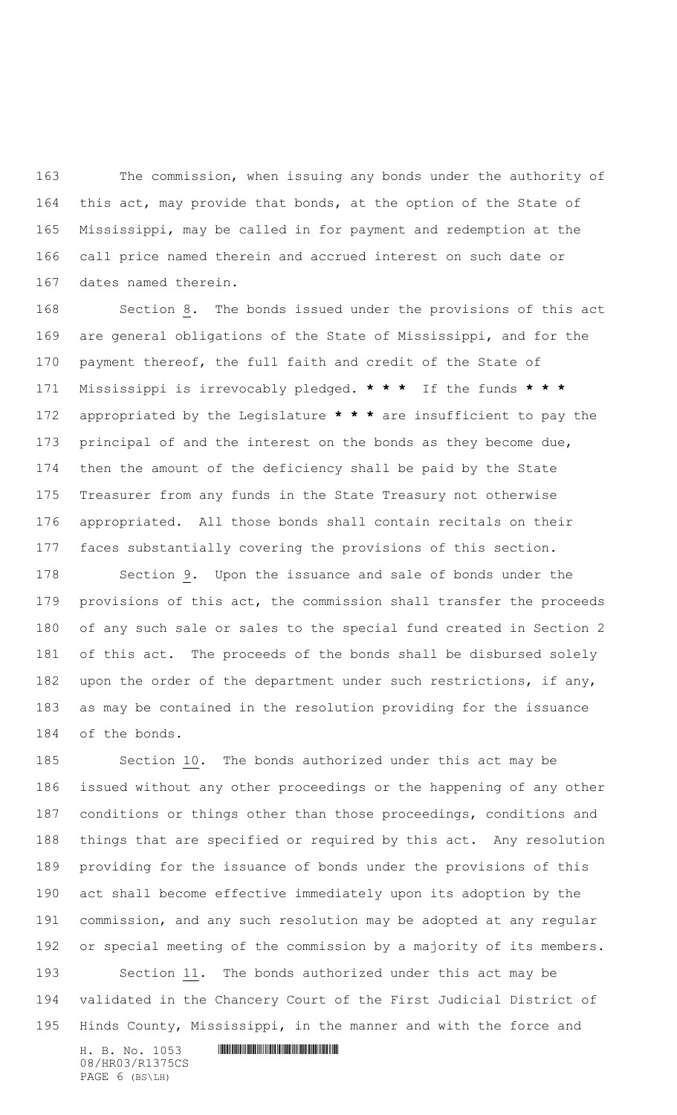The commission, when issuing any bonds under the authority of this act, may provide that bonds, at the option of the State of Mississippi, may be called in for payment and redemption at the call price named therein and accrued interest on such date or dates named therein.

 Section 8. The bonds issued under the provisions of this act are general obligations of the State of Mississippi, and for the payment thereof, the full faith and credit of the State of Mississippi is irrevocably pledged. **\* \* \*** If the funds **\* \* \*** appropriated by the Legislature **\* \* \*** are insufficient to pay the principal of and the interest on the bonds as they become due, then the amount of the deficiency shall be paid by the State Treasurer from any funds in the State Treasury not otherwise appropriated. All those bonds shall contain recitals on their faces substantially covering the provisions of this section.

 Section 9. Upon the issuance and sale of bonds under the provisions of this act, the commission shall transfer the proceeds of any such sale or sales to the special fund created in Section 2 of this act. The proceeds of the bonds shall be disbursed solely 182 upon the order of the department under such restrictions, if any, as may be contained in the resolution providing for the issuance of the bonds.

 Section 10. The bonds authorized under this act may be issued without any other proceedings or the happening of any other conditions or things other than those proceedings, conditions and things that are specified or required by this act. Any resolution providing for the issuance of bonds under the provisions of this act shall become effective immediately upon its adoption by the commission, and any such resolution may be adopted at any regular or special meeting of the commission by a majority of its members. Section 11. The bonds authorized under this act may be validated in the Chancery Court of the First Judicial District of Hinds County, Mississippi, in the manner and with the force and

 $H. B. No. 1053$  . HIRD AND AND ALL AND A SET OF A SET OF A SET OF A SET OF A SET OF A SET OF A SET OF A SET OF A SET OF A SET OF A SET OF A SET OF A SET OF A SET OF A SET OF A SET OF A SET OF A SET OF A SET OF A SET OF A SE 08/HR03/R1375CS PAGE 6 (BS\LH)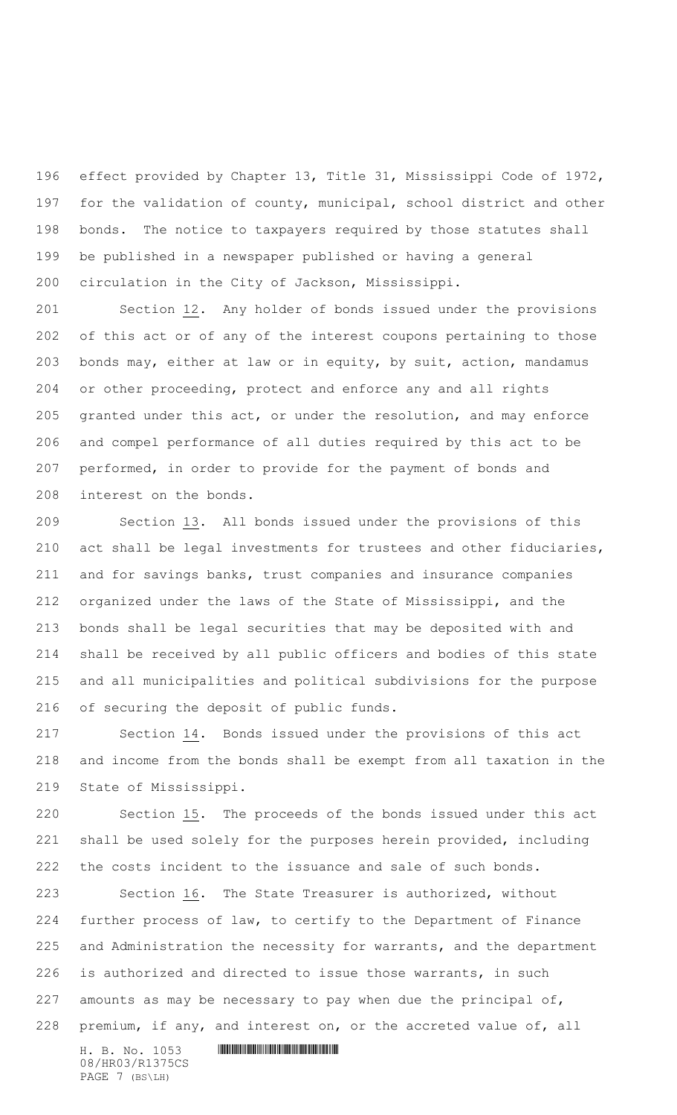effect provided by Chapter 13, Title 31, Mississippi Code of 1972, for the validation of county, municipal, school district and other bonds. The notice to taxpayers required by those statutes shall be published in a newspaper published or having a general circulation in the City of Jackson, Mississippi.

 Section 12. Any holder of bonds issued under the provisions of this act or of any of the interest coupons pertaining to those bonds may, either at law or in equity, by suit, action, mandamus or other proceeding, protect and enforce any and all rights granted under this act, or under the resolution, and may enforce and compel performance of all duties required by this act to be performed, in order to provide for the payment of bonds and interest on the bonds.

 Section 13. All bonds issued under the provisions of this act shall be legal investments for trustees and other fiduciaries, and for savings banks, trust companies and insurance companies organized under the laws of the State of Mississippi, and the bonds shall be legal securities that may be deposited with and shall be received by all public officers and bodies of this state and all municipalities and political subdivisions for the purpose of securing the deposit of public funds.

 Section 14**.** Bonds issued under the provisions of this act and income from the bonds shall be exempt from all taxation in the State of Mississippi.

 Section 15. The proceeds of the bonds issued under this act shall be used solely for the purposes herein provided, including the costs incident to the issuance and sale of such bonds.

 Section 16. The State Treasurer is authorized, without further process of law, to certify to the Department of Finance and Administration the necessity for warrants, and the department is authorized and directed to issue those warrants, in such 227 amounts as may be necessary to pay when due the principal of, premium, if any, and interest on, or the accreted value of, all

 $H. B. No. 1053$  . HIRD AND AND ALL AND A SET OF A SET OF A SET OF A SET OF A SET OF A SET OF A SET OF A SET OF A SET OF A SET OF A SET OF A SET OF A SET OF A SET OF A SET OF A SET OF A SET OF A SET OF A SET OF A SET OF A SE 08/HR03/R1375CS PAGE 7 (BS\LH)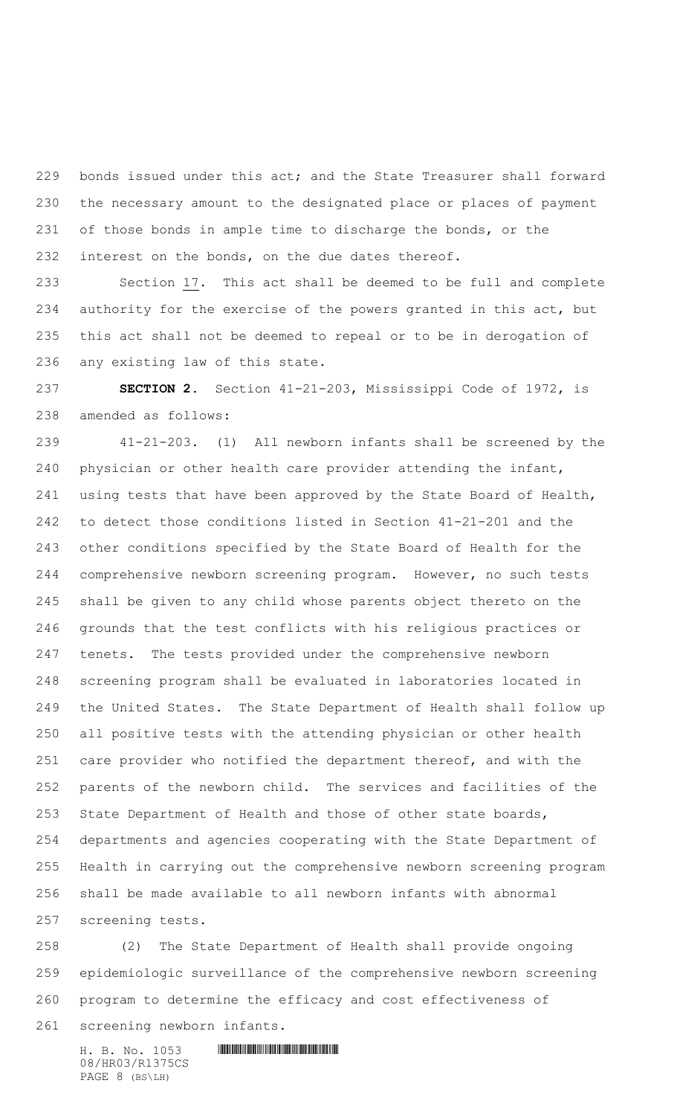bonds issued under this act; and the State Treasurer shall forward the necessary amount to the designated place or places of payment of those bonds in ample time to discharge the bonds, or the interest on the bonds, on the due dates thereof.

 Section 17. This act shall be deemed to be full and complete authority for the exercise of the powers granted in this act, but this act shall not be deemed to repeal or to be in derogation of any existing law of this state.

 **SECTION 2.** Section 41-21-203, Mississippi Code of 1972, is amended as follows:

 41-21-203. (1) All newborn infants shall be screened by the physician or other health care provider attending the infant, using tests that have been approved by the State Board of Health, to detect those conditions listed in Section 41-21-201 and the other conditions specified by the State Board of Health for the comprehensive newborn screening program. However, no such tests shall be given to any child whose parents object thereto on the grounds that the test conflicts with his religious practices or tenets. The tests provided under the comprehensive newborn screening program shall be evaluated in laboratories located in the United States. The State Department of Health shall follow up all positive tests with the attending physician or other health care provider who notified the department thereof, and with the parents of the newborn child. The services and facilities of the State Department of Health and those of other state boards, departments and agencies cooperating with the State Department of Health in carrying out the comprehensive newborn screening program shall be made available to all newborn infants with abnormal screening tests.

 (2) The State Department of Health shall provide ongoing epidemiologic surveillance of the comprehensive newborn screening program to determine the efficacy and cost effectiveness of

screening newborn infants.

 $H. B. No. 1053$  . HIRD AND AND ALL AND A SET OF A SET OF A SET OF A SET OF A SET OF A SET OF A SET OF A SET OF A SET OF A SET OF A SET OF A SET OF A SET OF A SET OF A SET OF A SET OF A SET OF A SET OF A SET OF A SET OF A SE 08/HR03/R1375CS PAGE 8 (BS\LH)